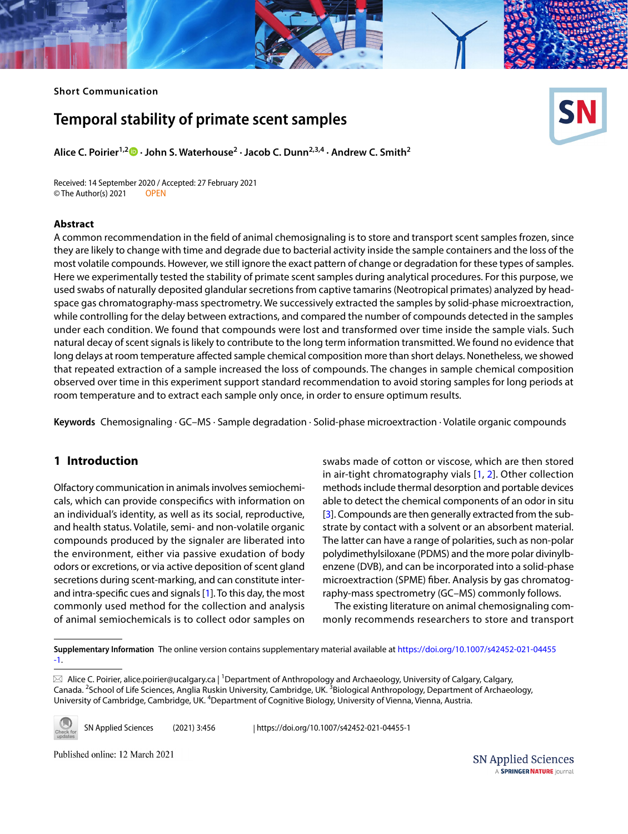## **Short Communication**

# **Temporal stability of primate scent samples**

**Alice C. Poirier1,2  [·](http://orcid.org/0000-0001-7947-3721) John S. Waterhouse2 · Jacob C. Dunn2,3,4 · Andrew C. Smith2**

Received: 14 September 2020 / Accepted: 27 February 2021 © The Author(s) 2021 OPEN

## **Abstract**

A common recommendation in the feld of animal chemosignaling is to store and transport scent samples frozen, since they are likely to change with time and degrade due to bacterial activity inside the sample containers and the loss of the most volatile compounds. However, we still ignore the exact pattern of change or degradation for these types of samples. Here we experimentally tested the stability of primate scent samples during analytical procedures. For this purpose, we used swabs of naturally deposited glandular secretions from captive tamarins (Neotropical primates) analyzed by headspace gas chromatography-mass spectrometry. We successively extracted the samples by solid-phase microextraction, while controlling for the delay between extractions, and compared the number of compounds detected in the samples under each condition. We found that compounds were lost and transformed over time inside the sample vials. Such natural decay of scent signals is likely to contribute to the long term information transmitted. We found no evidence that long delays at room temperature afected sample chemical composition more than short delays. Nonetheless, we showed that repeated extraction of a sample increased the loss of compounds. The changes in sample chemical composition observed over time in this experiment support standard recommendation to avoid storing samples for long periods at room temperature and to extract each sample only once, in order to ensure optimum results.

**Keywords** Chemosignaling · GC–MS · Sample degradation · Solid-phase microextraction · Volatile organic compounds

## **1 Introduction**

Olfactory communication in animals involves semiochemicals, which can provide conspecifcs with information on an individual's identity, as well as its social, reproductive, and health status. Volatile, semi- and non-volatile organic compounds produced by the signaler are liberated into the environment, either via passive exudation of body odors or excretions, or via active deposition of scent gland secretions during scent-marking, and can constitute interand intra-specifc cues and signals [[1\]](#page-4-0). To this day, the most commonly used method for the collection and analysis of animal semiochemicals is to collect odor samples on

swabs made of cotton or viscose, which are then stored in air-tight chromatography vials [\[1](#page-4-0), [2](#page-4-1)]. Other collection methods include thermal desorption and portable devices able to detect the chemical components of an odor in situ [[3\]](#page-4-2). Compounds are then generally extracted from the substrate by contact with a solvent or an absorbent material. The latter can have a range of polarities, such as non-polar polydimethylsiloxane (PDMS) and the more polar divinylbenzene (DVB), and can be incorporated into a solid-phase microextraction (SPME) fber. Analysis by gas chromatography-mass spectrometry (GC–MS) commonly follows.

The existing literature on animal chemosignaling commonly recommends researchers to store and transport

**Supplementary Information** The online version contains supplementary material available at [https://doi.org/10.1007/s42452-021-04455](https://doi.org/10.1007/s42452-021-04455-1) [-1.](https://doi.org/10.1007/s42452-021-04455-1)

 $\boxtimes$  Alice C. Poirier, alice.poirier@ucalgary.ca | <sup>1</sup>Department of Anthropology and Archaeology, University of Calgary, Calgary, Canada. <sup>2</sup>School of Life Sciences, Anglia Ruskin University, Cambridge, UK. <sup>3</sup>Biological Anthropology, Department of Archaeology, University of Cambridge, Cambridge, UK. <sup>4</sup>Department of Cognitive Biology, University of Vienna, Vienna, Austria.



SN Applied Sciences (2021) 3:456 | https://doi.org/10.1007/s42452-021-04455-1

Published online: 12 March 2021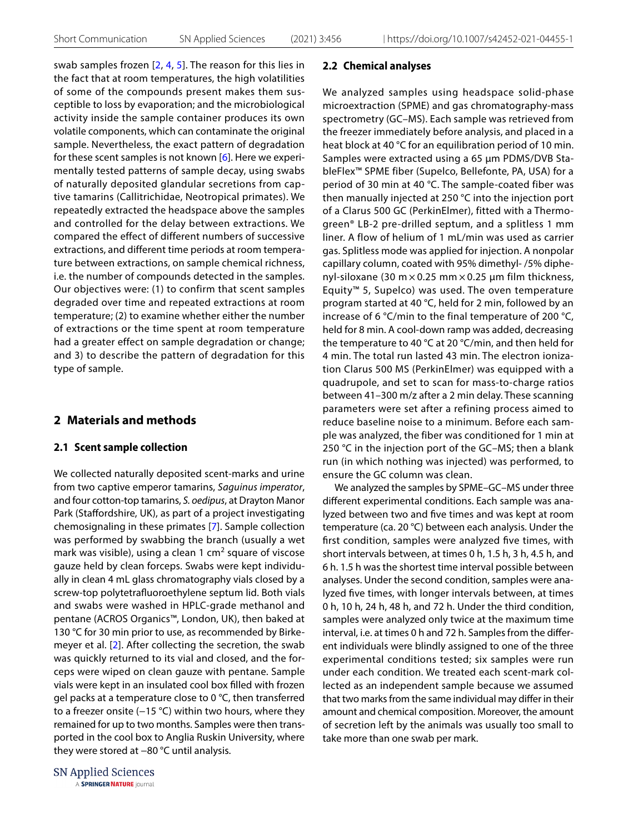swab samples frozen [\[2,](#page-4-1) [4,](#page-4-3) [5\]](#page-4-4). The reason for this lies in the fact that at room temperatures, the high volatilities of some of the compounds present makes them susceptible to loss by evaporation; and the microbiological activity inside the sample container produces its own volatile components, which can contaminate the original sample. Nevertheless, the exact pattern of degradation for these scent samples is not known [[6\]](#page-4-5). Here we experimentally tested patterns of sample decay, using swabs of naturally deposited glandular secretions from captive tamarins (Callitrichidae, Neotropical primates). We repeatedly extracted the headspace above the samples and controlled for the delay between extractions. We compared the effect of different numbers of successive extractions, and different time periods at room temperature between extractions, on sample chemical richness, i.e. the number of compounds detected in the samples. Our objectives were: (1) to confirm that scent samples degraded over time and repeated extractions at room temperature; (2) to examine whether either the number of extractions or the time spent at room temperature had a greater effect on sample degradation or change; and 3) to describe the pattern of degradation for this type of sample.

## **2 Materials and methods**

## **2.1 Scent sample collection**

We collected naturally deposited scent-marks and urine from two captive emperor tamarins, *Saguinus imperator*, and four cotton-top tamarins, *S. oedipus*, at Drayton Manor Park (Staffordshire, UK), as part of a project investigating chemosignaling in these primates [[7\]](#page-4-6). Sample collection was performed by swabbing the branch (usually a wet mark was visible), using a clean 1 cm<sup>2</sup> square of viscose gauze held by clean forceps. Swabs were kept individually in clean 4 mL glass chromatography vials closed by a screw-top polytetrafuoroethylene septum lid. Both vials and swabs were washed in HPLC-grade methanol and pentane (ACROS Organics™, London, UK), then baked at 130 °C for 30 min prior to use, as recommended by Birkemeyer et al. [[2](#page-4-1)]. After collecting the secretion, the swab was quickly returned to its vial and closed, and the forceps were wiped on clean gauze with pentane. Sample vials were kept in an insulated cool box flled with frozen gel packs at a temperature close to 0 °C, then transferred to a freezer onsite (−15 °C) within two hours, where they remained for up to two months. Samples were then transported in the cool box to Anglia Ruskin University, where they were stored at −80 °C until analysis.

**SN Applied Sciences** A SPRINGER NATURE journal

#### **2.2 Chemical analyses**

We analyzed samples using headspace solid-phase microextraction (SPME) and gas chromatography-mass spectrometry (GC–MS). Each sample was retrieved from the freezer immediately before analysis, and placed in a heat block at 40 °C for an equilibration period of 10 min. Samples were extracted using a 65 µm PDMS/DVB StableFlex™ SPME fiber (Supelco, Bellefonte, PA, USA) for a period of 30 min at 40 °C. The sample-coated fiber was then manually injected at 250 °C into the injection port of a Clarus 500 GC (PerkinElmer), fitted with a Thermogreen® LB-2 pre-drilled septum, and a splitless 1 mm liner. A flow of helium of 1 mL/min was used as carrier gas. Splitless mode was applied for injection. A nonpolar capillary column, coated with 95% dimethyl- /5% diphenyl-siloxane (30 m  $\times$  0.25 mm  $\times$  0.25 µm film thickness, Equity™ 5, Supelco) was used. The oven temperature program started at 40 °C, held for 2 min, followed by an increase of 6 °C/min to the final temperature of 200 °C, held for 8 min. A cool-down ramp was added, decreasing the temperature to 40 °C at 20 °C/min, and then held for 4 min. The total run lasted 43 min. The electron ionization Clarus 500 MS (PerkinElmer) was equipped with a quadrupole, and set to scan for mass-to-charge ratios between 41–300 m/z after a 2 min delay. These scanning parameters were set after a refining process aimed to reduce baseline noise to a minimum. Before each sample was analyzed, the fiber was conditioned for 1 min at 250 °C in the injection port of the GC–MS; then a blank run (in which nothing was injected) was performed, to ensure the GC column was clean.

We analyzed the samples by SPME–GC–MS under three diferent experimental conditions. Each sample was analyzed between two and fve times and was kept at room temperature (ca. 20 °C) between each analysis. Under the frst condition, samples were analyzed fve times, with short intervals between, at times 0 h, 1.5 h, 3 h, 4.5 h, and 6 h. 1.5 h was the shortest time interval possible between analyses. Under the second condition, samples were analyzed fve times, with longer intervals between, at times 0 h, 10 h, 24 h, 48 h, and 72 h. Under the third condition, samples were analyzed only twice at the maximum time interval, i.e. at times 0 h and 72 h. Samples from the diferent individuals were blindly assigned to one of the three experimental conditions tested; six samples were run under each condition. We treated each scent-mark collected as an independent sample because we assumed that two marks from the same individual may difer in their amount and chemical composition. Moreover, the amount of secretion left by the animals was usually too small to take more than one swab per mark.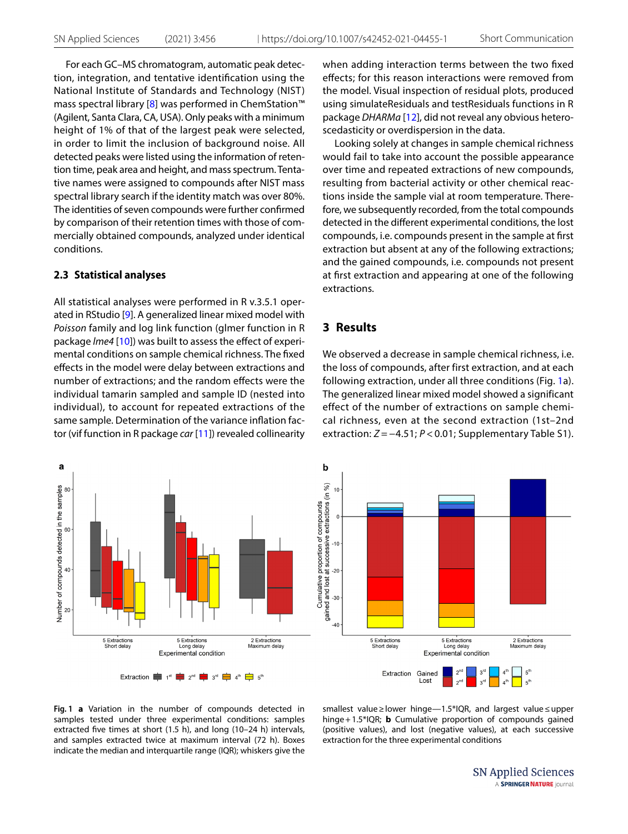For each GC–MS chromatogram, automatic peak detection, integration, and tentative identifcation using the National Institute of Standards and Technology (NIST) mass spectral library [[8](#page-4-7)] was performed in ChemStation<sup>™</sup> (Agilent, Santa Clara, CA, USA). Only peaks with a minimum height of 1% of that of the largest peak were selected, in order to limit the inclusion of background noise. All detected peaks were listed using the information of retention time, peak area and height, and mass spectrum. Tentative names were assigned to compounds after NIST mass spectral library search if the identity match was over 80%. The identities of seven compounds were further confrmed by comparison of their retention times with those of commercially obtained compounds, analyzed under identical conditions.

### **2.3 Statistical analyses**

All statistical analyses were performed in R v.3.5.1 operated in RStudio [[9\]](#page-4-8). A generalized linear mixed model with *Poisson* family and log link function (glmer function in R package *lme4* [[10](#page-4-9)]) was built to assess the efect of experimental conditions on sample chemical richness. The fxed efects in the model were delay between extractions and number of extractions; and the random efects were the individual tamarin sampled and sample ID (nested into individual), to account for repeated extractions of the same sample. Determination of the variance inflation factor (vif function in R package *car* [[11](#page-4-10)]) revealed collinearity when adding interaction terms between the two fxed efects; for this reason interactions were removed from the model. Visual inspection of residual plots, produced using simulateResiduals and testResiduals functions in R package *DHARMa* [\[12](#page-4-11)], did not reveal any obvious heteroscedasticity or overdispersion in the data.

Looking solely at changes in sample chemical richness would fail to take into account the possible appearance over time and repeated extractions of new compounds, resulting from bacterial activity or other chemical reactions inside the sample vial at room temperature. Therefore, we subsequently recorded, from the total compounds detected in the diferent experimental conditions, the lost compounds, i.e. compounds present in the sample at frst extraction but absent at any of the following extractions; and the gained compounds, i.e. compounds not present at frst extraction and appearing at one of the following extractions.

## **3 Results**

We observed a decrease in sample chemical richness, i.e. the loss of compounds, after first extraction, and at each following extraction, under all three conditions (Fig. [1](#page-2-0)a). The generalized linear mixed model showed a significant effect of the number of extractions on sample chemical richness, even at the second extraction (1st–2nd extraction: *Z* = −4.51; *P* < 0.01; Supplementary Table S1).



<span id="page-2-0"></span>**Fig. 1 a** Variation in the number of compounds detected in samples tested under three experimental conditions: samples extracted fve times at short (1.5 h), and long (10–24 h) intervals, and samples extracted twice at maximum interval (72 h). Boxes indicate the median and interquartile range (IQR); whiskers give the smallest value≥lower hinge—1.5\*IQR, and largest value≤upper hinge+1.5\*IQR; **b** Cumulative proportion of compounds gained (positive values), and lost (negative values), at each successive extraction for the three experimental conditions

> **SN Applied Sciences** A SPRINGER NATURE journal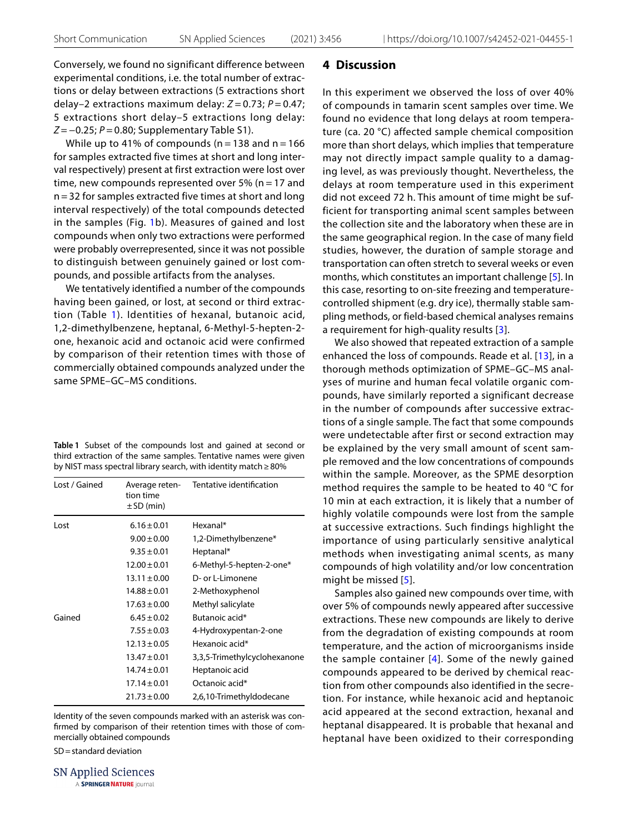Conversely, we found no significant difference between experimental conditions, i.e. the total number of extractions or delay between extractions (5 extractions short delay–2 extractions maximum delay: *Z* = 0.73; *P* = 0.47; 5 extractions short delay–5 extractions long delay: *Z* = −0.25; *P* = 0.80; Supplementary Table S1).

While up to 41% of compounds ( $n = 138$  and  $n = 166$ for samples extracted five times at short and long interval respectively) present at first extraction were lost over time, new compounds represented over 5% ( $n = 17$  and n = 32 for samples extracted five times at short and long interval respectively) of the total compounds detected in the samples (Fig. [1](#page-2-0)b). Measures of gained and lost compounds when only two extractions were performed were probably overrepresented, since it was not possible to distinguish between genuinely gained or lost compounds, and possible artifacts from the analyses.

We tentatively identified a number of the compounds having been gained, or lost, at second or third extraction (Table [1](#page-3-0)). Identities of hexanal, butanoic acid, 1,2-dimethylbenzene, heptanal, 6-Methyl-5-hepten-2 one, hexanoic acid and octanoic acid were confirmed by comparison of their retention times with those of commercially obtained compounds analyzed under the same SPME–GC–MS conditions.

<span id="page-3-0"></span>

|                                                                      |  |  | Table 1 Subset of the compounds lost and gained at second or     |  |  |  |  |  |
|----------------------------------------------------------------------|--|--|------------------------------------------------------------------|--|--|--|--|--|
|                                                                      |  |  | third extraction of the same samples. Tentative names were given |  |  |  |  |  |
| by NIST mass spectral library search, with identity match $\geq$ 80% |  |  |                                                                  |  |  |  |  |  |

| Lost / Gained | Average reten-<br>tion time<br>$\pm$ SD (min) | Tentative identification     |  |  |  |  |
|---------------|-----------------------------------------------|------------------------------|--|--|--|--|
| l ost         | $6.16 \pm 0.01$                               | Hexanal*                     |  |  |  |  |
|               | $9.00 \pm 0.00$                               | 1,2-Dimethylbenzene*         |  |  |  |  |
|               | $9.35 \pm 0.01$                               | Heptanal*                    |  |  |  |  |
|               | $12.00 \pm 0.01$                              | 6-Methyl-5-hepten-2-one*     |  |  |  |  |
|               | $13.11 \pm 0.00$                              | D- or L-Limonene             |  |  |  |  |
|               | $14.88 \pm 0.01$                              | 2-Methoxyphenol              |  |  |  |  |
|               | $17.63 \pm 0.00$                              | Methyl salicylate            |  |  |  |  |
| Gained        | $6.45 \pm 0.02$                               | Butanoic acid*               |  |  |  |  |
|               | $7.55 \pm 0.03$                               | 4-Hydroxypentan-2-one        |  |  |  |  |
|               | $12.13 \pm 0.05$                              | Hexanoic acid*               |  |  |  |  |
|               | $13.47 \pm 0.01$                              | 3,3,5-Trimethylcyclohexanone |  |  |  |  |
|               | $14.74 \pm 0.01$                              | Heptanoic acid               |  |  |  |  |
|               | $17.14 \pm 0.01$                              | Octanoic acid*               |  |  |  |  |
|               | $21.73 \pm 0.00$                              | 2,6,10-Trimethyldodecane     |  |  |  |  |

Identity of the seven compounds marked with an asterisk was confrmed by comparison of their retention times with those of commercially obtained compounds

SD=standard deviation

**SN Applied Sciences** A SPRINGER NATURE journal

## **4 Discussion**

In this experiment we observed the loss of over 40% of compounds in tamarin scent samples over time. We found no evidence that long delays at room temperature (ca. 20 °C) affected sample chemical composition more than short delays, which implies that temperature may not directly impact sample quality to a damaging level, as was previously thought. Nevertheless, the delays at room temperature used in this experiment did not exceed 72 h. This amount of time might be sufficient for transporting animal scent samples between the collection site and the laboratory when these are in the same geographical region. In the case of many field studies, however, the duration of sample storage and transportation can often stretch to several weeks or even months, which constitutes an important challenge [[5](#page-4-4)]. In this case, resorting to on-site freezing and temperaturecontrolled shipment (e.g. dry ice), thermally stable sampling methods, or field-based chemical analyses remains a requirement for high-quality results [[3](#page-4-2)].

We also showed that repeated extraction of a sample enhanced the loss of compounds. Reade et al. [\[13\]](#page-4-12), in a thorough methods optimization of SPME–GC–MS analyses of murine and human fecal volatile organic compounds, have similarly reported a significant decrease in the number of compounds after successive extractions of a single sample. The fact that some compounds were undetectable after first or second extraction may be explained by the very small amount of scent sample removed and the low concentrations of compounds within the sample. Moreover, as the SPME desorption method requires the sample to be heated to 40 °C for 10 min at each extraction, it is likely that a number of highly volatile compounds were lost from the sample at successive extractions. Such findings highlight the importance of using particularly sensitive analytical methods when investigating animal scents, as many compounds of high volatility and/or low concentration might be missed [[5](#page-4-4)].

Samples also gained new compounds over time, with over 5% of compounds newly appeared after successive extractions. These new compounds are likely to derive from the degradation of existing compounds at room temperature, and the action of microorganisms inside the sample container [[4](#page-4-3)]. Some of the newly gained compounds appeared to be derived by chemical reaction from other compounds also identified in the secretion. For instance, while hexanoic acid and heptanoic acid appeared at the second extraction, hexanal and heptanal disappeared. It is probable that hexanal and heptanal have been oxidized to their corresponding